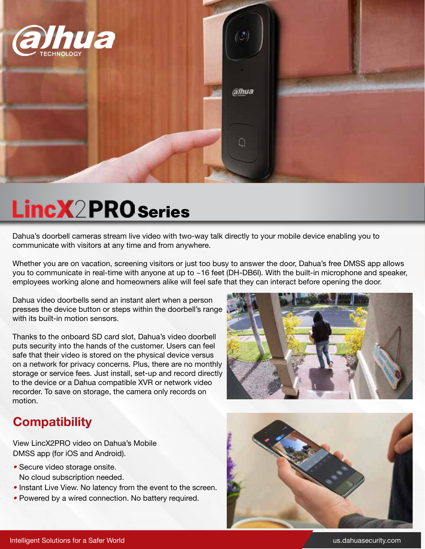

# **LincX2PRO** Series

Dahua's doorbell cameras stream live video with two-way talk directly to your mobile device enabling you to communicate with visitors at any time and from anywhere.

Whether you are on vacation, screening visitors or just too busy to answer the door, Dahua's free DMSS app allows you to communicate in real-time with anyone at up to ~16 feet (DH-DB6I). With the built-in microphone and speaker, employees working alone and homeowners alike will feel safe that they can interact before opening the door.

Dahua video doorbells send an instant alert when a person presses the device button or steps within the doorbell's range with its built-in motion sensors.

Thanks to the onboard SD card slot, Dahua's video doorbell puts security into the hands of the customer. Users can feel safe that their video is stored on the physical device versus on a network for privacy concerns. Plus, there are no monthly storage or service fees. Just install, set-up and record directly to the device or a Dahua compatible XVR or network video recorder. To save on storage, the camera only records on motion.



### **Compatibility**

View LincX2PRO video on Dahua's Mobile DMSS app (for iOS and Android).

- *•* Secure video storage onsite. No cloud subscription needed.
- *•* Instant Live View. No latency from the event to the screen.
- *•* Powered by a wired connection. No battery required.